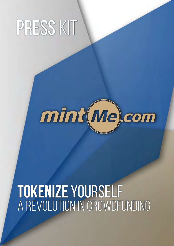# press kit



## **tokenize** yourself a revolution in crowDfunding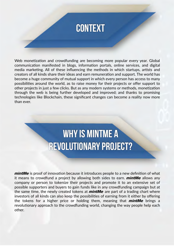

Web monetization and crowdfunding are becoming more popular every year. Global communication manifested in blogs, information portals, online services, and digital media marketing. All of these influencing the methods in which startups, artists and creators of all kinds share their ideas and earn remuneration and support. The world has become a huge community of mutual support in which every person has access to many possibilities around the world, as to raise money for their projects or offer support to other projects in just a few clicks. But as any modern systems or methods, monetization through the web is being further developed and improved; and thanks to promising technologies like Blockchain, these significant changes can become a reality now more than ever.

#### **WHY IS MINTME A REVOLUTIONARY PROJECT?**

*mintMe* is proof of innovation because it introduces people to a new definition of what it means to crowdfund a project by allowing both sides to earn. *mintMe* allows any company or person to tokenize their projects and promote it to an extensive set of possible supporters and buyers to gain funds like in any crowdfunding campaign but at the same time, the newly created tokens at *mintMe* are part of a trading chart where investors of all kinds can also keep the possibilities of earning from it either by offering the tokens for a higher price or holding them, meaning that *mintMe* brings a revolutionary approach to the crowdfunding world, changing the way people help each other.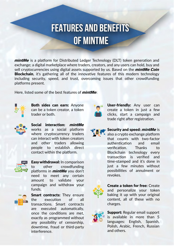#### **FEATURES AND BENEFITS OF MINTME**

*mintMe* is a platform for Distributed Ledger Technology (DLT) token generation and exchange; a digital marketplace where traders, creators, and any users can hold, buy and sell cryptocurrencies using digital assets supported by us. Based on the *mintMe Coin* **Blockchain**, it's gathering all of the innovative features of this modern technology including security, speed, and trust, overcoming issues that other crowdfunding platforms present.

Here, listed some of the best features of *mintMe*:



Both sides can earn: Anyone can be a token creator, a token trader or both.

| Me |
|----|
|    |

Social interaction: *mintMe* works as a social platform where cryptocurrency traders can interact with token creators and other traders allowing people to establish direct contact within the platform.



Easy withdrawal: In comparison to other crowdfunding platforms in *mintMe* you don't need to meet any certain amount to validate your campaign and withdraw your funds.



Smart contracts: They ensure the execution of all transactions. Smart contracts are executed automatically, once the conditions are met, exactly as programmed without any possibility of censorship, downtime, fraud or third-party interference.



User-friendly: Any user can create a token in just a few clicks, start a campaign and trade right after registration.

Security and speed: *mintMe* is also a crypto exchange platform that counts with two-factor authentication and email verification. Thanks to Blockchain technology every transaction is verified and time-stamped and it's done in just a few minutes without possibilities of annulment or revokes.



Create a token for free: Create and personalize your token baking it up with your original content, all of these with no charges.



Support: Regular email support is available in more than 5 languages: English, Spanish, Polish, Arabic, French, Russian and others.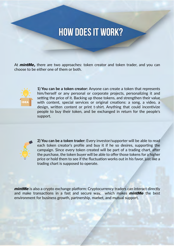#### **HOW DOES IT WORK?**

At *mintMe,* there are two approaches: token creator and token trader, and you can choose to be either one of them or both.



**1) You can be a token creator:** Anyone can create a token that represents him/herself or any personal or corporate projects, personalizing it and setting the price of it. Backing up those tokens, and strengthen their value with content, special services or original creations: a song, a video, a design, written content or print t-shirt. Anything that could incentivize people to buy their token, and be exchanged in return for the people's support.



**2) You can be a token trader:** Every investor/supporter will be able to read each token creator's profile and buy it if he so desires, supporting the campaign. Since every token created will be part of a trading chart, after the purchase, the token buyer will be able to offer those tokens for a higher price or hold them to see if the fluctuation works out in his favor, just like a trading chart is supposed to operate.

*mintMe* is also a crypto exchange platform: Cryptocurrency traders can interact directly and make transactions in a fast and secure way, which makes *mintMe* the best environment for business growth, partnership, market, and mutual support.